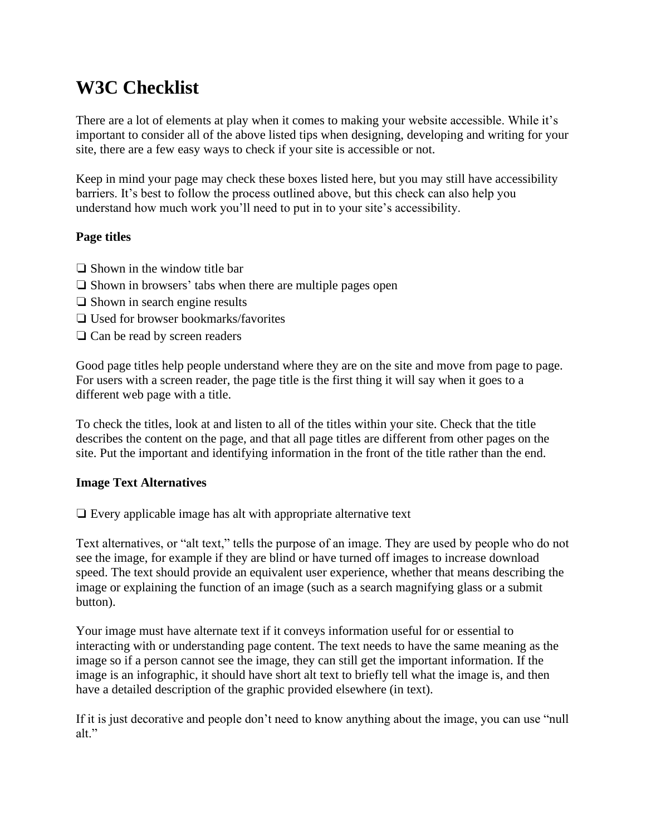# **W3C Checklist**

There are a lot of elements at play when it comes to making your website accessible. While it's important to consider all of the above listed tips when designing, developing and writing for your site, there are a few easy ways to check if your site is accessible or not.

Keep in mind your page may check these boxes listed here, but you may still have accessibility barriers. It's best to follow the process outlined above, but this check can also help you understand how much work you'll need to put in to your site's accessibility.

## **Page titles**

- ❏ Shown in the window title bar
- ❏ Shown in browsers' tabs when there are multiple pages open
- ❏ Shown in search engine results
- ❏ Used for browser bookmarks/favorites
- ❏ Can be read by screen readers

Good page titles help people understand where they are on the site and move from page to page. For users with a screen reader, the page title is the first thing it will say when it goes to a different web page with a title.

To check the titles, look at and listen to all of the titles within your site. Check that the title describes the content on the page, and that all page titles are different from other pages on the site. Put the important and identifying information in the front of the title rather than the end.

#### **Image Text Alternatives**

❏ Every applicable image has alt with appropriate alternative text

Text alternatives, or "alt text," tells the purpose of an image. They are used by people who do not see the image, for example if they are blind or have turned off images to increase download speed. The text should provide an equivalent user experience, whether that means describing the image or explaining the function of an image (such as a search magnifying glass or a submit button).

Your image must have alternate text if it conveys information useful for or essential to interacting with or understanding page content. The text needs to have the same meaning as the image so if a person cannot see the image, they can still get the important information. If the image is an infographic, it should have short alt text to briefly tell what the image is, and then have a detailed description of the graphic provided elsewhere (in text).

If it is just decorative and people don't need to know anything about the image, you can use "null alt."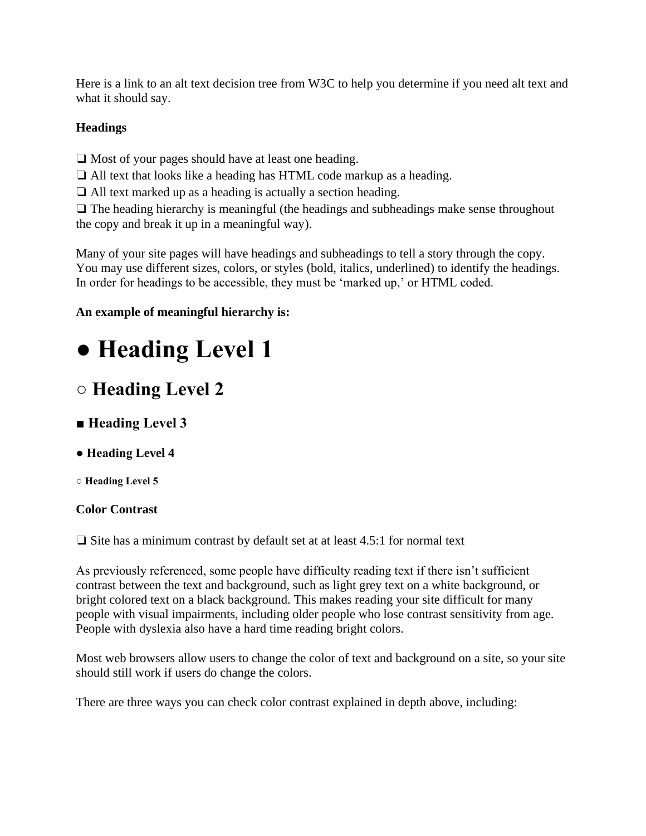Here is a link to an alt text decision tree from W3C to help you determine if you need alt text and what it should say.

# **Headings**

❏ Most of your pages should have at least one heading.

❏ All text that looks like a heading has HTML code markup as a heading.

❏ All text marked up as a heading is actually a section heading.

❏ The heading hierarchy is meaningful (the headings and subheadings make sense throughout the copy and break it up in a meaningful way).

Many of your site pages will have headings and subheadings to tell a story through the copy. You may use different sizes, colors, or styles (bold, italics, underlined) to identify the headings. In order for headings to be accessible, they must be 'marked up,' or HTML coded.

# **An example of meaningful hierarchy is:**

# **● Heading Level 1**

# **○ Heading Level 2**

- **Heading Level 3**
- **Heading Level 4**
- **Heading Level 5**

# **Color Contrast**

❏ Site has a minimum contrast by default set at at least 4.5:1 for normal text

As previously referenced, some people have difficulty reading text if there isn't sufficient contrast between the text and background, such as light grey text on a white background, or bright colored text on a black background. This makes reading your site difficult for many people with visual impairments, including older people who lose contrast sensitivity from age. People with dyslexia also have a hard time reading bright colors.

Most web browsers allow users to change the color of text and background on a site, so your site should still work if users do change the colors.

There are three ways you can check color contrast explained in depth above, including: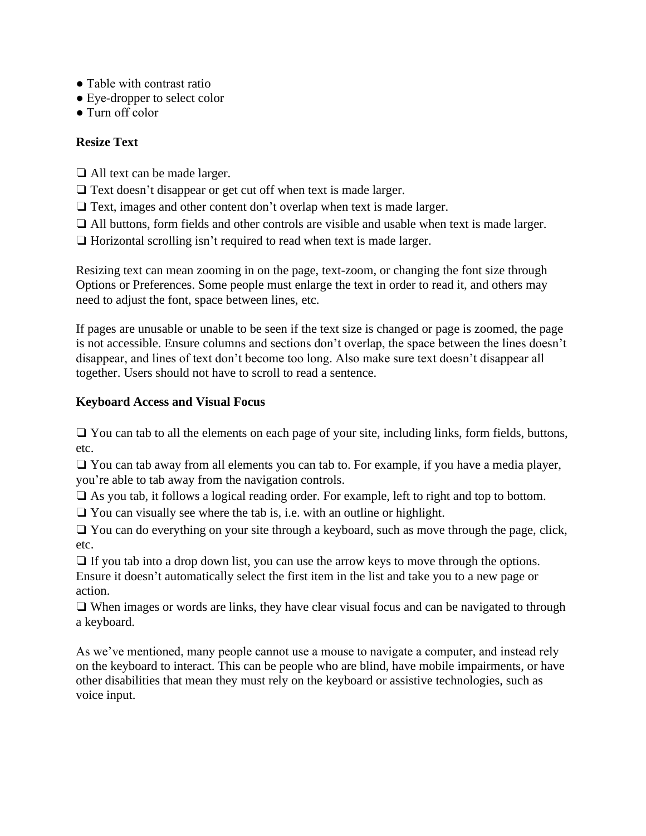- Table with contrast ratio
- Eye-dropper to select color
- Turn off color

## **Resize Text**

❏ All text can be made larger.

❏ Text doesn't disappear or get cut off when text is made larger.

❏ Text, images and other content don't overlap when text is made larger.

❏ All buttons, form fields and other controls are visible and usable when text is made larger.

❏ Horizontal scrolling isn't required to read when text is made larger.

Resizing text can mean zooming in on the page, text-zoom, or changing the font size through Options or Preferences. Some people must enlarge the text in order to read it, and others may need to adjust the font, space between lines, etc.

If pages are unusable or unable to be seen if the text size is changed or page is zoomed, the page is not accessible. Ensure columns and sections don't overlap, the space between the lines doesn't disappear, and lines of text don't become too long. Also make sure text doesn't disappear all together. Users should not have to scroll to read a sentence.

## **Keyboard Access and Visual Focus**

❏ You can tab to all the elements on each page of your site, including links, form fields, buttons, etc.

❏ You can tab away from all elements you can tab to. For example, if you have a media player, you're able to tab away from the navigation controls.

❏ As you tab, it follows a logical reading order. For example, left to right and top to bottom.

❏ You can visually see where the tab is, i.e. with an outline or highlight.

❏ You can do everything on your site through a keyboard, such as move through the page, click, etc.

❏ If you tab into a drop down list, you can use the arrow keys to move through the options. Ensure it doesn't automatically select the first item in the list and take you to a new page or action.

❏ When images or words are links, they have clear visual focus and can be navigated to through a keyboard.

As we've mentioned, many people cannot use a mouse to navigate a computer, and instead rely on the keyboard to interact. This can be people who are blind, have mobile impairments, or have other disabilities that mean they must rely on the keyboard or assistive technologies, such as voice input.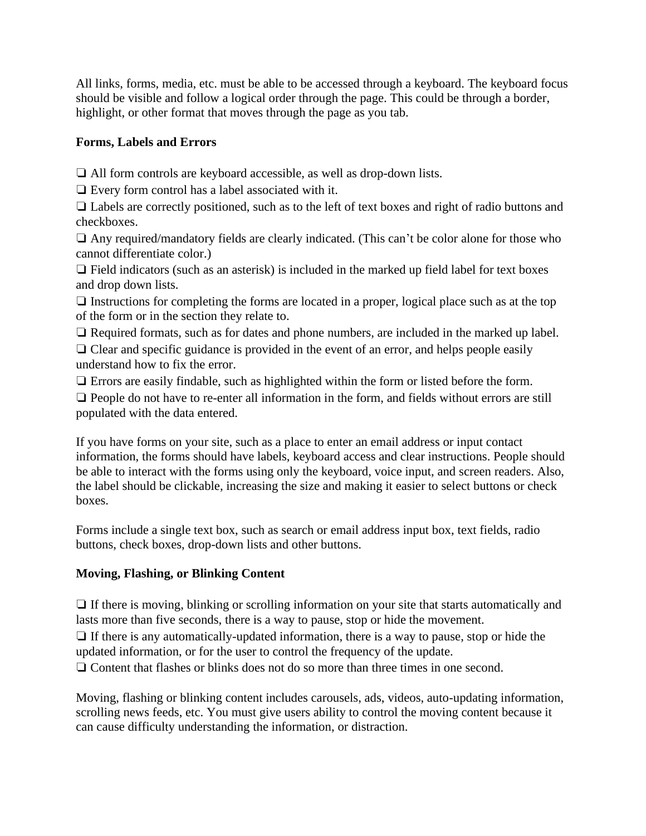All links, forms, media, etc. must be able to be accessed through a keyboard. The keyboard focus should be visible and follow a logical order through the page. This could be through a border, highlight, or other format that moves through the page as you tab.

#### **Forms, Labels and Errors**

❏ All form controls are keyboard accessible, as well as drop-down lists.

❏ Every form control has a label associated with it.

❏ Labels are correctly positioned, such as to the left of text boxes and right of radio buttons and checkboxes.

❏ Any required/mandatory fields are clearly indicated. (This can't be color alone for those who cannot differentiate color.)

 $\Box$  Field indicators (such as an asterisk) is included in the marked up field label for text boxes and drop down lists.

❏ Instructions for completing the forms are located in a proper, logical place such as at the top of the form or in the section they relate to.

❏ Required formats, such as for dates and phone numbers, are included in the marked up label. ❏ Clear and specific guidance is provided in the event of an error, and helps people easily understand how to fix the error.

❏ Errors are easily findable, such as highlighted within the form or listed before the form.

❏ People do not have to re-enter all information in the form, and fields without errors are still populated with the data entered.

If you have forms on your site, such as a place to enter an email address or input contact information, the forms should have labels, keyboard access and clear instructions. People should be able to interact with the forms using only the keyboard, voice input, and screen readers. Also, the label should be clickable, increasing the size and making it easier to select buttons or check boxes.

Forms include a single text box, such as search or email address input box, text fields, radio buttons, check boxes, drop-down lists and other buttons.

# **Moving, Flashing, or Blinking Content**

❏ If there is moving, blinking or scrolling information on your site that starts automatically and lasts more than five seconds, there is a way to pause, stop or hide the movement.

❏ If there is any automatically-updated information, there is a way to pause, stop or hide the updated information, or for the user to control the frequency of the update.

❏ Content that flashes or blinks does not do so more than three times in one second.

Moving, flashing or blinking content includes carousels, ads, videos, auto-updating information, scrolling news feeds, etc. You must give users ability to control the moving content because it can cause difficulty understanding the information, or distraction.